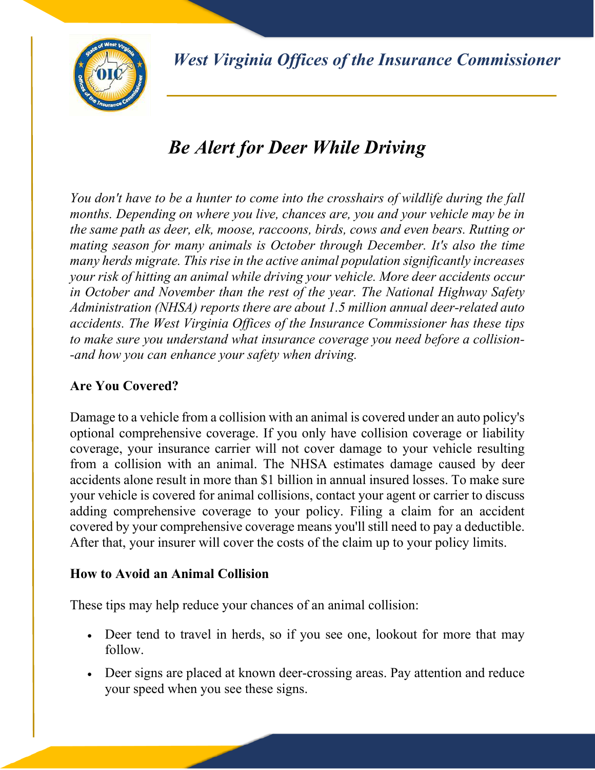*West Virginia Offices of the Insurance Commissioner*



# *Be Alert for Deer While Driving*

*You don't have to be a hunter to come into the crosshairs of wildlife during the fall months. Depending on where you live, chances are, you and your vehicle may be in the same path as deer, elk, moose, raccoons, birds, cows and even bears. Rutting or mating season for many animals is October through December. It's also the time many herds migrate. This rise in the active animal population significantly increases your risk of hitting an animal while driving your vehicle. More deer accidents occur in October and November than the rest of the year. The National Highway Safety Administration (NHSA) reports there are about 1.5 million annual deer-related auto accidents. The West Virginia Offices of the Insurance Commissioner has these tips to make sure you understand what insurance coverage you need before a collision- -and how you can enhance your safety when driving.* 

# **Are You Covered?**

Damage to a vehicle from a collision with an animal is covered under an auto policy's optional comprehensive coverage. If you only have collision coverage or liability coverage, your insurance carrier will not cover damage to your vehicle resulting from a collision with an animal. The NHSA estimates damage caused by deer accidents alone result in more than \$1 billion in annual insured losses. To make sure your vehicle is covered for animal collisions, contact your agent or carrier to discuss adding comprehensive coverage to your policy. Filing a claim for an accident covered by your comprehensive coverage means you'll still need to pay a deductible. After that, your insurer will cover the costs of the claim up to your policy limits.

### **How to Avoid an Animal Collision**

These tips may help reduce your chances of an animal collision:

- Deer tend to travel in herds, so if you see one, lookout for more that may follow.
- Deer signs are placed at known deer-crossing areas. Pay attention and reduce your speed when you see these signs.